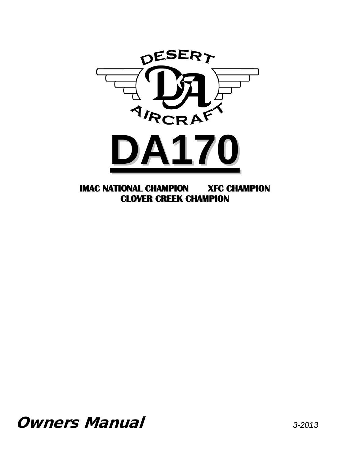

**IMAC NATIONAL CHAMPION XFC CHAMPION CLOVER CREEK CHAMPION**

Owners Manual *3-2013*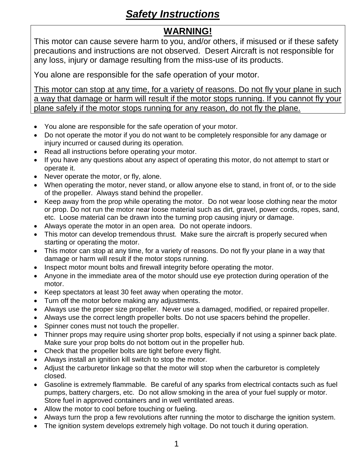# *Safety Instructions*

### **WARNING!**

This motor can cause severe harm to you, and/or others, if misused or if these safety precautions and instructions are not observed. Desert Aircraft is not responsible for any loss, injury or damage resulting from the miss-use of its products.

You alone are responsible for the safe operation of your motor.

This motor can stop at any time, for a variety of reasons. Do not fly your plane in such a way that damage or harm will result if the motor stops running. If you cannot fly your plane safely if the motor stops running for any reason, do not fly the plane.

- You alone are responsible for the safe operation of your motor.
- Do not operate the motor if you do not want to be completely responsible for any damage or injury incurred or caused during its operation.
- Read all instructions before operating your motor.
- If you have any questions about any aspect of operating this motor, do not attempt to start or operate it.
- Never operate the motor, or fly, alone.
- When operating the motor, never stand, or allow anyone else to stand, in front of, or to the side of the propeller. Always stand behind the propeller.
- Keep away from the prop while operating the motor. Do not wear loose clothing near the motor or prop. Do not run the motor near loose material such as dirt, gravel, power cords, ropes, sand, etc. Loose material can be drawn into the turning prop causing injury or damage.
- Always operate the motor in an open area. Do not operate indoors.
- This motor can develop tremendous thrust. Make sure the aircraft is properly secured when starting or operating the motor.
- This motor can stop at any time, for a variety of reasons. Do not fly your plane in a way that damage or harm will result if the motor stops running.
- Inspect motor mount bolts and firewall integrity before operating the motor.
- Anyone in the immediate area of the motor should use eye protection during operation of the motor.
- Keep spectators at least 30 feet away when operating the motor.
- Turn off the motor before making any adjustments.
- Always use the proper size propeller. Never use a damaged, modified, or repaired propeller.
- Always use the correct length propeller bolts. Do not use spacers behind the propeller.
- Spinner cones must not touch the propeller.
- Thinner props may require using shorter prop bolts, especially if not using a spinner back plate. Make sure your prop bolts do not bottom out in the propeller hub.
- Check that the propeller bolts are tight before every flight.
- Always install an ignition kill switch to stop the motor.
- Adjust the carburetor linkage so that the motor will stop when the carburetor is completely closed.
- Gasoline is extremely flammable. Be careful of any sparks from electrical contacts such as fuel pumps, battery chargers, etc. Do not allow smoking in the area of your fuel supply or motor. Store fuel in approved containers and in well ventilated areas.
- Allow the motor to cool before touching or fueling.
- Always turn the prop a few revolutions after running the motor to discharge the ignition system.
- The ignition system develops extremely high voltage. Do not touch it during operation.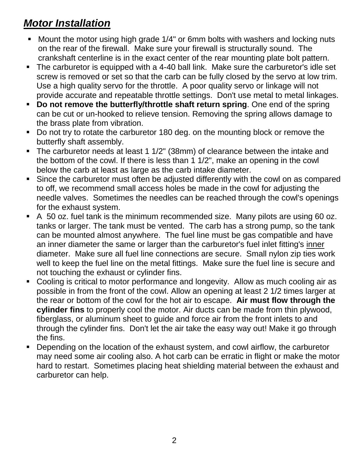# *Motor Installation*

- **Mount the motor using high grade 1/4" or 6mm bolts with washers and locking nuts** on the rear of the firewall. Make sure your firewall is structurally sound. The crankshaft centerline is in the exact center of the rear mounting plate bolt pattern.
- The carburetor is equipped with a 4-40 ball link. Make sure the carburetor's idle set screw is removed or set so that the carb can be fully closed by the servo at low trim. Use a high quality servo for the throttle. A poor quality servo or linkage will not provide accurate and repeatable throttle settings. Don't use metal to metal linkages.
- **Do not remove the butterfly/throttle shaft return spring**. One end of the spring can be cut or un-hooked to relieve tension. Removing the spring allows damage to the brass plate from vibration.
- Do not try to rotate the carburetor 180 deg. on the mounting block or remove the butterfly shaft assembly.
- The carburetor needs at least 1 1/2" (38mm) of clearance between the intake and the bottom of the cowl. If there is less than 1 1/2", make an opening in the cowl below the carb at least as large as the carb intake diameter.
- Since the carburetor must often be adjusted differently with the cowl on as compared to off, we recommend small access holes be made in the cowl for adjusting the needle valves. Sometimes the needles can be reached through the cowl's openings for the exhaust system.
- A 50 oz. fuel tank is the minimum recommended size. Many pilots are using 60 oz. tanks or larger. The tank must be vented. The carb has a strong pump, so the tank can be mounted almost anywhere. The fuel line must be gas compatible and have an inner diameter the same or larger than the carburetor's fuel inlet fitting's inner diameter. Make sure all fuel line connections are secure. Small nylon zip ties work well to keep the fuel line on the metal fittings. Make sure the fuel line is secure and not touching the exhaust or cylinder fins.
- Cooling is critical to motor performance and longevity. Allow as much cooling air as possible in from the front of the cowl. Allow an opening at least 2 1/2 times larger at the rear or bottom of the cowl for the hot air to escape. **Air must flow through the cylinder fins** to properly cool the motor. Air ducts can be made from thin plywood, fiberglass, or aluminum sheet to guide and force air from the front inlets to and through the cylinder fins. Don't let the air take the easy way out! Make it go through the fins.
- **Depending on the location of the exhaust system, and cowl airflow, the carburetor** may need some air cooling also. A hot carb can be erratic in flight or make the motor hard to restart. Sometimes placing heat shielding material between the exhaust and carburetor can help.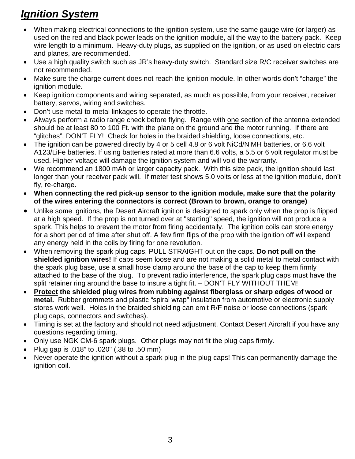# *Ignition System*

- When making electrical connections to the ignition system, use the same gauge wire (or larger) as used on the red and black power leads on the ignition module, all the way to the battery pack. Keep wire length to a minimum. Heavy-duty plugs, as supplied on the ignition, or as used on electric cars and planes, are recommended.
- Use a high quality switch such as JR's heavy-duty switch. Standard size R/C receiver switches are not recommended.
- Make sure the charge current does not reach the ignition module. In other words don't "charge" the ignition module.
- Keep ignition components and wiring separated, as much as possible, from your receiver, receiver battery, servos, wiring and switches.
- Don't use metal-to-metal linkages to operate the throttle.
- Always perform a radio range check before flying. Range with one section of the antenna extended should be at least 80 to 100 Ft. with the plane on the ground and the motor running. If there are "glitches", DON'T FLY! Check for holes in the braided shielding, loose connections, etc.
- The ignition can be powered directly by 4 or 5 cell 4.8 or 6 volt NiCd/NiMH batteries, or 6.6 volt A123/LiFe batteries. If using batteries rated at more than 6.6 volts, a 5.5 or 6 volt regulator must be used. Higher voltage will damage the ignition system and will void the warranty.
- We recommend an 1800 mAh or larger capacity pack. With this size pack, the ignition should last longer than your receiver pack will. If meter test shows 5.0 volts or less at the ignition module, don't fly, re-charge.
- **When connecting the red pick-up sensor to the ignition module, make sure that the polarity of the wires entering the connectors is correct (Brown to brown, orange to orange)**
- Unlike some ignitions, the Desert Aircraft ignition is designed to spark only when the prop is flipped at a high speed. If the prop is not turned over at "starting" speed, the ignition will not produce a spark. This helps to prevent the motor from firing accidentally. The ignition coils can store energy for a short period of time after shut off. A few firm flips of the prop with the ignition off will expend any energy held in the coils by firing for one revolution.
- When removing the spark plug caps, PULL STRAIGHT out on the caps. **Do not pull on the shielded ignition wires!** If caps seem loose and are not making a solid metal to metal contact with the spark plug base, use a small hose clamp around the base of the cap to keep them firmly attached to the base of the plug. To prevent radio interference, the spark plug caps must have the split retainer ring around the base to insure a tight fit. – DON'T FLY WITHOUT THEM!
- **Protect the shielded plug wires from rubbing against fiberglass or sharp edges of wood or metal.** Rubber grommets and plastic "spiral wrap" insulation from automotive or electronic supply stores work well. Holes in the braided shielding can emit R/F noise or loose connections (spark plug caps, connectors and switches).
- Timing is set at the factory and should not need adjustment. Contact Desert Aircraft if you have any questions regarding timing.
- Only use NGK CM-6 spark plugs. Other plugs may not fit the plug caps firmly.
- Plug gap is .018" to .020" (.38 to .50 mm)
- Never operate the ignition without a spark plug in the plug caps! This can permanently damage the ignition coil.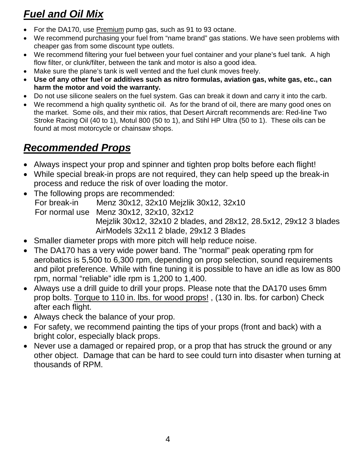# *Fuel and Oil Mix*

- For the DA170, use Premium pump gas, such as 91 to 93 octane.
- We recommend purchasing your fuel from "name brand" gas stations. We have seen problems with cheaper gas from some discount type outlets.
- We recommend filtering your fuel between your fuel container and your plane's fuel tank. A high flow filter, or clunk/filter, between the tank and motor is also a good idea.
- Make sure the plane's tank is well vented and the fuel clunk moves freely.
- **Use of any other fuel or additives such as nitro formulas, aviation gas, white gas, etc., can harm the motor and void the warranty.**
- Do not use silicone sealers on the fuel system. Gas can break it down and carry it into the carb.
- We recommend a high quality synthetic oil. As for the brand of oil, there are many good ones on the market. Some oils, and their mix ratios, that Desert Aircraft recommends are: Red-line Two Stroke Racing Oil (40 to 1), Motul 800 (50 to 1), and Stihl HP Ultra (50 to 1). These oils can be found at most motorcycle or chainsaw shops.

# *Recommended Props*

- Always inspect your prop and spinner and tighten prop bolts before each flight!
- While special break-in props are not required, they can help speed up the break-in process and reduce the risk of over loading the motor.
- The following props are recommended: For break-in Menz 30x12, 32x10 Mejzlik 30x12, 32x10 For normal use Menz 30x12, 32x10, 32x12 Mejzlik 30x12, 32x10 2 blades, and 28x12, 28.5x12, 29x12 3 blades AirModels 32x11 2 blade, 29x12 3 Blades
- Smaller diameter props with more pitch will help reduce noise.
- The DA170 has a very wide power band. The "normal" peak operating rpm for aerobatics is 5,500 to 6,300 rpm, depending on prop selection, sound requirements and pilot preference. While with fine tuning it is possible to have an idle as low as 800 rpm, normal "reliable" idle rpm is 1,200 to 1,400.
- Always use a drill guide to drill your props. Please note that the DA170 uses 6mm prop bolts. Torque to 110 in. lbs. for wood props! , (130 in. lbs. for carbon) Check after each flight.
- Always check the balance of your prop.
- For safety, we recommend painting the tips of your props (front and back) with a bright color, especially black props.
- Never use a damaged or repaired prop, or a prop that has struck the ground or any other object. Damage that can be hard to see could turn into disaster when turning at thousands of RPM.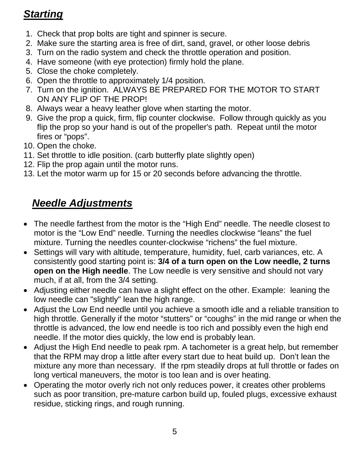# *Starting*

- 1. Check that prop bolts are tight and spinner is secure.
- 2. Make sure the starting area is free of dirt, sand, gravel, or other loose debris
- 3. Turn on the radio system and check the throttle operation and position.
- 4. Have someone (with eye protection) firmly hold the plane.
- 5. Close the choke completely.
- 6. Open the throttle to approximately 1/4 position.
- 7. Turn on the ignition. ALWAYS BE PREPARED FOR THE MOTOR TO START ON ANY FLIP OF THE PROP!
- 8. Always wear a heavy leather glove when starting the motor.
- 9. Give the prop a quick, firm, flip counter clockwise. Follow through quickly as you flip the prop so your hand is out of the propeller's path. Repeat until the motor fires or "pops".
- 10. Open the choke.
- 11. Set throttle to idle position. (carb butterfly plate slightly open)
- 12. Flip the prop again until the motor runs.
- 13. Let the motor warm up for 15 or 20 seconds before advancing the throttle.

# *Needle Adjustments*

- The needle farthest from the motor is the "High End" needle. The needle closest to motor is the "Low End" needle. Turning the needles clockwise "leans" the fuel mixture. Turning the needles counter-clockwise "richens" the fuel mixture.
- Settings will vary with altitude, temperature, humidity, fuel, carb variances, etc. A consistently good starting point is: **3/4 of a turn open on the Low needle, 2 turns open on the High needle**. The Low needle is very sensitive and should not vary much, if at all, from the 3/4 setting.
- Adjusting either needle can have a slight effect on the other. Example: leaning the low needle can "slightly" lean the high range.
- Adjust the Low End needle until you achieve a smooth idle and a reliable transition to high throttle. Generally if the motor "stutters" or "coughs" in the mid range or when the throttle is advanced, the low end needle is too rich and possibly even the high end needle. If the motor dies quickly, the low end is probably lean.
- Adjust the High End needle to peak rpm. A tachometer is a great help, but remember that the RPM may drop a little after every start due to heat build up. Don't lean the mixture any more than necessary. If the rpm steadily drops at full throttle or fades on long vertical maneuvers, the motor is too lean and is over heating.
- Operating the motor overly rich not only reduces power, it creates other problems such as poor transition, pre-mature carbon build up, fouled plugs, excessive exhaust residue, sticking rings, and rough running.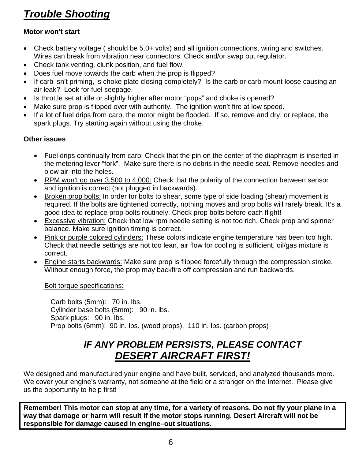# *Trouble Shooting*

#### **Motor won't start**

- Check battery voltage (should be 5.0+ volts) and all ignition connections, wiring and switches. Wires can break from vibration near connectors. Check and/or swap out regulator.
- Check tank venting, clunk position, and fuel flow.
- Does fuel move towards the carb when the prop is flipped?
- If carb isn't priming, is choke plate closing completely? Is the carb or carb mount loose causing an air leak? Look for fuel seepage.
- Is throttle set at idle or slightly higher after motor "pops" and choke is opened?
- Make sure prop is flipped over with authority. The ignition won't fire at low speed.
- If a lot of fuel drips from carb, the motor might be flooded. If so, remove and dry, or replace, the spark plugs. Try starting again without using the choke.

#### **Other issues**

- Fuel drips continually from carb: Check that the pin on the center of the diaphragm is inserted in the metering lever "fork". Make sure there is no debris in the needle seat. Remove needles and blow air into the holes.
- RPM won't go over 3,500 to 4,000: Check that the polarity of the connection between sensor and ignition is correct (not plugged in backwards).
- Broken prop bolts: In order for bolts to shear, some type of side loading (shear) movement is required. If the bolts are tightened correctly, nothing moves and prop bolts will rarely break. It's a good idea to replace prop bolts routinely. Check prop bolts before each flight!
- Excessive vibration: Check that low rpm needle setting is not too rich. Check prop and spinner balance. Make sure ignition timing is correct.
- Pink or purple colored cylinders: These colors indicate engine temperature has been too high. Check that needle settings are not too lean, air flow for cooling is sufficient, oil/gas mixture is correct.
- Engine starts backwards: Make sure prop is flipped forcefully through the compression stroke. Without enough force, the prop may backfire off compression and run backwards.

Bolt torque specifications:

 Carb bolts (5mm): 70 in. lbs. Cylinder base bolts (5mm): 90 in. lbs. Spark plugs: 90 in. lbs. Prop bolts (6mm): 90 in. lbs. (wood props), 110 in. lbs. (carbon props)

### *IF ANY PROBLEM PERSISTS, PLEASE CONTACT DESERT AIRCRAFT FIRST!*

We designed and manufactured your engine and have built, serviced, and analyzed thousands more. We cover your engine's warranty, not someone at the field or a stranger on the Internet. Please give us the opportunity to help first!

**Remember! This motor can stop at any time, for a variety of reasons. Do not fly your plane in a way that damage or harm will result if the motor stops running. Desert Aircraft will not be responsible for damage caused in engine–out situations.**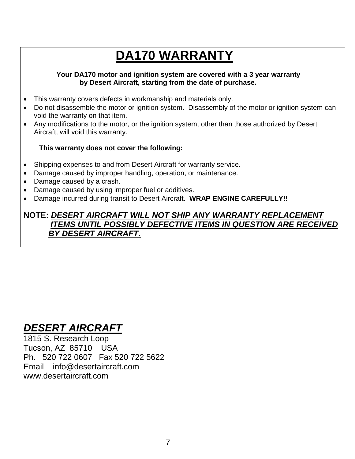# **DA170 WARRANTY**

#### **Your DA170 motor and ignition system are covered with a 3 year warranty by Desert Aircraft, starting from the date of purchase.**

- This warranty covers defects in workmanship and materials only.
- Do not disassemble the motor or ignition system. Disassembly of the motor or ignition system can void the warranty on that item.
- Any modifications to the motor, or the ignition system, other than those authorized by Desert Aircraft, will void this warranty.

#### **This warranty does not cover the following:**

- Shipping expenses to and from Desert Aircraft for warranty service.
- Damage caused by improper handling, operation, or maintenance.
- Damage caused by a crash.

- Damage caused by using improper fuel or additives.
- Damage incurred during transit to Desert Aircraft. **WRAP ENGINE CAREFULLY!!**

#### **NOTE:** *DESERT AIRCRAFT WILL NOT SHIP ANY WARRANTY REPLACEMENT ITEMS UNTIL POSSIBLY DEFECTIVE ITEMS IN QUESTION ARE RECEIVED BY DESERT AIRCRAFT.*

# *DESERT AIRCRAFT*

1815 S. Research Loop Tucson, AZ 85710 USA Ph. 520 722 0607 Fax 520 722 5622 Email info@desertaircraft.com www.desertaircraft.com